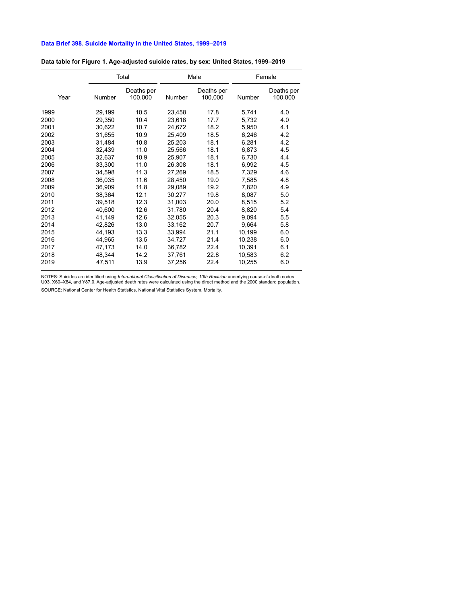|      |        | Total                 |        | Male                  | Female |                       |  |
|------|--------|-----------------------|--------|-----------------------|--------|-----------------------|--|
| Year | Number | Deaths per<br>100,000 | Number | Deaths per<br>100,000 | Number | Deaths per<br>100,000 |  |
| 1999 | 29,199 | 10.5                  | 23,458 | 17.8                  | 5,741  | 4.0                   |  |
| 2000 | 29,350 | 10.4                  | 23,618 | 17.7                  | 5.732  | 4.0                   |  |
| 2001 | 30,622 | 10.7                  | 24,672 | 18.2                  | 5,950  | 4.1                   |  |
| 2002 | 31,655 | 10.9                  | 25,409 | 18.5                  | 6,246  | 4.2                   |  |
| 2003 | 31,484 | 10.8                  | 25,203 | 18.1                  | 6,281  | 4.2                   |  |
| 2004 | 32,439 | 11.0                  | 25,566 | 18.1                  | 6,873  | 4.5                   |  |
| 2005 | 32,637 | 10.9                  | 25,907 | 18.1                  | 6,730  | 4.4                   |  |
| 2006 | 33,300 | 11.0                  | 26,308 | 18.1                  | 6,992  | 4.5                   |  |
| 2007 | 34,598 | 11.3                  | 27,269 | 18.5                  | 7,329  | 4.6                   |  |
| 2008 | 36,035 | 11.6                  | 28,450 | 19.0                  | 7,585  | 4.8                   |  |
| 2009 | 36,909 | 11.8                  | 29,089 | 19.2                  | 7,820  | 4.9                   |  |
| 2010 | 38,364 | 12.1                  | 30,277 | 19.8                  | 8,087  | 5.0                   |  |
| 2011 | 39,518 | 12.3                  | 31,003 | 20.0                  | 8,515  | 5.2                   |  |
| 2012 | 40,600 | 12.6                  | 31,780 | 20.4                  | 8,820  | 5.4                   |  |
| 2013 | 41,149 | 12.6                  | 32,055 | 20.3                  | 9,094  | 5.5                   |  |
| 2014 | 42,826 | 13.0                  | 33,162 | 20.7                  | 9,664  | 5.8                   |  |
| 2015 | 44,193 | 13.3                  | 33,994 | 21.1                  | 10,199 | 6.0                   |  |
| 2016 | 44,965 | 13.5                  | 34,727 | 21.4                  | 10,238 | 6.0                   |  |
| 2017 | 47,173 | 14.0                  | 36,782 | 22.4                  | 10,391 | 6.1                   |  |
| 2018 | 48,344 | 14.2                  | 37,761 | 22.8                  | 10,583 | 6.2                   |  |
| 2019 | 47,511 | 13.9                  | 37,256 | 22.4                  | 10,255 | 6.0                   |  |

**Data table for Figure 1. Age-adjusted suicide rates, by sex: United States, 1999–2019**

NOTES: Suicides are identified using *International Classification of Diseases, 10th Revision* underlying cause-of-death codes<br>U03, X60–X84, and Y87.0. Age-adjusted death rates were calculated using the direct method and t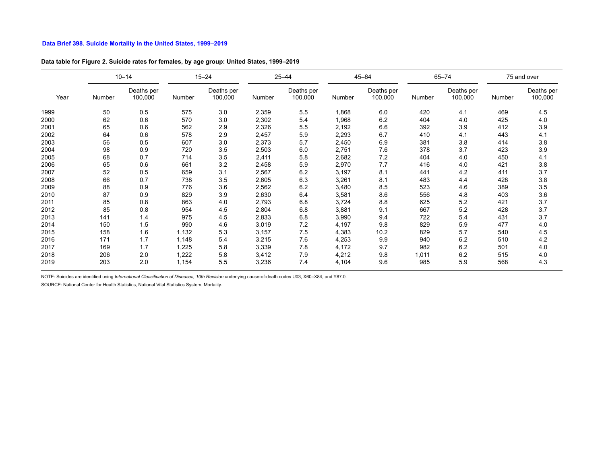## **Data table for Figure 2. Suicide rates for females, by age group: United States, 1999–2019**

|      |        | $10 - 14$             |        | $15 - 24$             |        | $25 - 44$             |        | $45 - 64$             |        | $65 - 74$             |        | 75 and over           |  |
|------|--------|-----------------------|--------|-----------------------|--------|-----------------------|--------|-----------------------|--------|-----------------------|--------|-----------------------|--|
| Year | Number | Deaths per<br>100,000 | Number | Deaths per<br>100,000 | Number | Deaths per<br>100,000 | Number | Deaths per<br>100,000 | Number | Deaths per<br>100,000 | Number | Deaths per<br>100,000 |  |
| 1999 | 50     | 0.5                   | 575    | 3.0                   | 2,359  | 5.5                   | 1,868  | 6.0                   | 420    | 4.1                   | 469    | 4.5                   |  |
| 2000 | 62     | 0.6                   | 570    | 3.0                   | 2,302  | 5.4                   | 1,968  | 6.2                   | 404    | 4.0                   | 425    | 4.0                   |  |
| 2001 | 65     | 0.6                   | 562    | 2.9                   | 2,326  | 5.5                   | 2,192  | 6.6                   | 392    | 3.9                   | 412    | 3.9                   |  |
| 2002 | 64     | 0.6                   | 578    | 2.9                   | 2,457  | 5.9                   | 2,293  | 6.7                   | 410    | 4.1                   | 443    | 4.1                   |  |
| 2003 | 56     | 0.5                   | 607    | 3.0                   | 2,373  | 5.7                   | 2,450  | 6.9                   | 381    | 3.8                   | 414    | 3.8                   |  |
| 2004 | 98     | 0.9                   | 720    | 3.5                   | 2,503  | 6.0                   | 2,751  | 7.6                   | 378    | 3.7                   | 423    | 3.9                   |  |
| 2005 | 68     | 0.7                   | 714    | 3.5                   | 2,411  | 5.8                   | 2,682  | 7.2                   | 404    | 4.0                   | 450    | 4.1                   |  |
| 2006 | 65     | 0.6                   | 661    | 3.2                   | 2,458  | 5.9                   | 2,970  | 7.7                   | 416    | 4.0                   | 421    | 3.8                   |  |
| 2007 | 52     | 0.5                   | 659    | 3.1                   | 2,567  | 6.2                   | 3,197  | 8.1                   | 441    | 4.2                   | 411    | 3.7                   |  |
| 2008 | 66     | 0.7                   | 738    | 3.5                   | 2,605  | 6.3                   | 3,261  | 8.1                   | 483    | 4.4                   | 428    | 3.8                   |  |
| 2009 | 88     | 0.9                   | 776    | 3.6                   | 2,562  | 6.2                   | 3,480  | 8.5                   | 523    | 4.6                   | 389    | 3.5                   |  |
| 2010 | 87     | 0.9                   | 829    | 3.9                   | 2,630  | 6.4                   | 3,581  | 8.6                   | 556    | 4.8                   | 403    | 3.6                   |  |
| 2011 | 85     | 0.8                   | 863    | 4.0                   | 2,793  | 6.8                   | 3,724  | 8.8                   | 625    | 5.2                   | 421    | 3.7                   |  |
| 2012 | 85     | 0.8                   | 954    | 4.5                   | 2,804  | 6.8                   | 3,881  | 9.1                   | 667    | 5.2                   | 428    | 3.7                   |  |
| 2013 | 141    | 1.4                   | 975    | 4.5                   | 2,833  | 6.8                   | 3,990  | 9.4                   | 722    | 5.4                   | 431    | 3.7                   |  |
| 2014 | 150    | 1.5                   | 990    | 4.6                   | 3,019  | 7.2                   | 4,197  | 9.8                   | 829    | 5.9                   | 477    | 4.0                   |  |
| 2015 | 158    | 1.6                   | 1,132  | 5.3                   | 3,157  | 7.5                   | 4,383  | 10.2                  | 829    | 5.7                   | 540    | 4.5                   |  |
| 2016 | 171    | 1.7                   | 1,148  | 5.4                   | 3,215  | 7.6                   | 4,253  | 9.9                   | 940    | 6.2                   | 510    | 4.2                   |  |
| 2017 | 169    | 1.7                   | 1,225  | 5.8                   | 3,339  | 7.8                   | 4,172  | 9.7                   | 982    | 6.2                   | 501    | 4.0                   |  |
| 2018 | 206    | 2.0                   | 1,222  | 5.8                   | 3,412  | 7.9                   | 4,212  | 9.8                   | 1,011  | 6.2                   | 515    | 4.0                   |  |
| 2019 | 203    | 2.0                   | 1,154  | 5.5                   | 3,236  | 7.4                   | 4,104  | 9.6                   | 985    | 5.9                   | 568    | 4.3                   |  |

NOTE: Suicides are identified using *International Classification of Diseases, 10th Revision* underlying cause-of-death codes U03, X60–X84, and Y87.0.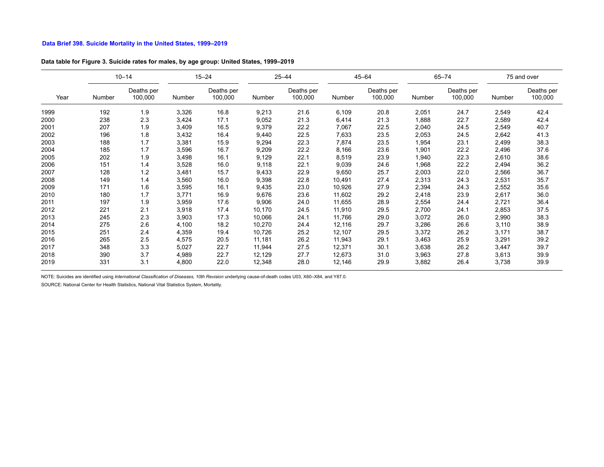| Data table for Figure 3. Suicide rates for males, by age group: United States, 1999-2019 |  |  |  |
|------------------------------------------------------------------------------------------|--|--|--|
|                                                                                          |  |  |  |

|      |        | $10 - 14$             |        | $15 - 24$             |        | $25 - 44$             |        | $45 - 64$             |        | $65 - 74$             |        | 75 and over           |  |
|------|--------|-----------------------|--------|-----------------------|--------|-----------------------|--------|-----------------------|--------|-----------------------|--------|-----------------------|--|
| Year | Number | Deaths per<br>100,000 | Number | Deaths per<br>100,000 | Number | Deaths per<br>100,000 | Number | Deaths per<br>100,000 | Number | Deaths per<br>100,000 | Number | Deaths per<br>100,000 |  |
| 1999 | 192    | 1.9                   | 3,326  | 16.8                  | 9,213  | 21.6                  | 6,109  | 20.8                  | 2,051  | 24.7                  | 2,549  | 42.4                  |  |
| 2000 | 238    | 2.3                   | 3,424  | 17.1                  | 9,052  | 21.3                  | 6,414  | 21.3                  | 1,888  | 22.7                  | 2,589  | 42.4                  |  |
| 2001 | 207    | 1.9                   | 3,409  | 16.5                  | 9,379  | 22.2                  | 7,067  | 22.5                  | 2,040  | 24.5                  | 2,549  | 40.7                  |  |
| 2002 | 196    | 1.8                   | 3,432  | 16.4                  | 9,440  | 22.5                  | 7,633  | 23.5                  | 2,053  | 24.5                  | 2,642  | 41.3                  |  |
| 2003 | 188    | 1.7                   | 3,381  | 15.9                  | 9,294  | 22.3                  | 7,874  | 23.5                  | 1,954  | 23.1                  | 2,499  | 38.3                  |  |
| 2004 | 185    | 1.7                   | 3,596  | 16.7                  | 9,209  | 22.2                  | 8,166  | 23.6                  | 1,901  | 22.2                  | 2,496  | 37.6                  |  |
| 2005 | 202    | 1.9                   | 3,498  | 16.1                  | 9,129  | 22.1                  | 8,519  | 23.9                  | 1,940  | 22.3                  | 2,610  | 38.6                  |  |
| 2006 | 151    | 1.4                   | 3,528  | 16.0                  | 9,118  | 22.1                  | 9,039  | 24.6                  | 1,968  | 22.2                  | 2,494  | 36.2                  |  |
| 2007 | 128    | 1.2                   | 3,481  | 15.7                  | 9,433  | 22.9                  | 9,650  | 25.7                  | 2,003  | 22.0                  | 2,566  | 36.7                  |  |
| 2008 | 149    | 1.4                   | 3,560  | 16.0                  | 9,398  | 22.8                  | 10,491 | 27.4                  | 2,313  | 24.3                  | 2,531  | 35.7                  |  |
| 2009 | 171    | 1.6                   | 3,595  | 16.1                  | 9,435  | 23.0                  | 10,926 | 27.9                  | 2,394  | 24.3                  | 2,552  | 35.6                  |  |
| 2010 | 180    | 1.7                   | 3,771  | 16.9                  | 9,676  | 23.6                  | 11,602 | 29.2                  | 2,418  | 23.9                  | 2,617  | 36.0                  |  |
| 2011 | 197    | 1.9                   | 3,959  | 17.6                  | 9,906  | 24.0                  | 11,655 | 28.9                  | 2,554  | 24.4                  | 2,721  | 36.4                  |  |
| 2012 | 221    | 2.1                   | 3,918  | 17.4                  | 10,170 | 24.5                  | 11,910 | 29.5                  | 2,700  | 24.1                  | 2,853  | 37.5                  |  |
| 2013 | 245    | 2.3                   | 3,903  | 17.3                  | 10,066 | 24.1                  | 11,766 | 29.0                  | 3,072  | 26.0                  | 2,990  | 38.3                  |  |
| 2014 | 275    | 2.6                   | 4,100  | 18.2                  | 10,270 | 24.4                  | 12,116 | 29.7                  | 3,286  | 26.6                  | 3,110  | 38.9                  |  |
| 2015 | 251    | 2.4                   | 4,359  | 19.4                  | 10,726 | 25.2                  | 12,107 | 29.5                  | 3,372  | 26.2                  | 3,171  | 38.7                  |  |
| 2016 | 265    | 2.5                   | 4,575  | 20.5                  | 11,181 | 26.2                  | 11,943 | 29.1                  | 3,463  | 25.9                  | 3,291  | 39.2                  |  |
| 2017 | 348    | 3.3                   | 5,027  | 22.7                  | 11,944 | 27.5                  | 12,371 | 30.1                  | 3,638  | 26.2                  | 3,447  | 39.7                  |  |
| 2018 | 390    | 3.7                   | 4,989  | 22.7                  | 12,129 | 27.7                  | 12,673 | 31.0                  | 3,963  | 27.8                  | 3,613  | 39.9                  |  |
| 2019 | 331    | 3.1                   | 4,800  | 22.0                  | 12,348 | 28.0                  | 12,146 | 29.9                  | 3,882  | 26.4                  | 3,738  | 39.9                  |  |

NOTE: Suicides are identified using *International Classification of Diseases, 10th Revision* underlying cause-of-death codes U03, X60–X84, and Y87.0.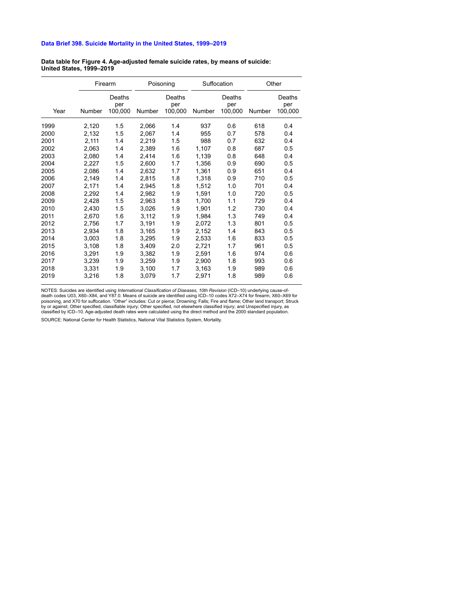**Data table for Figure 4. Age-adjusted female suicide rates, by means of suicide: United States, 1999–2019**

|      | Firearm |                          | Poisoning |                          | Suffocation |                          | Other  |                          |
|------|---------|--------------------------|-----------|--------------------------|-------------|--------------------------|--------|--------------------------|
| Year | Number  | Deaths<br>per<br>100,000 | Number    | Deaths<br>per<br>100,000 | Number      | Deaths<br>per<br>100,000 | Number | Deaths<br>per<br>100,000 |
| 1999 | 2,120   | 1.5                      | 2,066     | 1.4                      | 937         | 0.6                      | 618    | 0.4                      |
| 2000 | 2,132   | 1.5                      | 2,067     | 1.4                      | 955         | 0.7                      | 578    | 0.4                      |
| 2001 | 2,111   | 1.4                      | 2,219     | 1.5                      | 988         | 0.7                      | 632    | 0.4                      |
| 2002 | 2,063   | 1.4                      | 2,389     | 1.6                      | 1,107       | 0.8                      | 687    | 0.5                      |
| 2003 | 2,080   | 1.4                      | 2,414     | 1.6                      | 1,139       | 0.8                      | 648    | 0.4                      |
| 2004 | 2,227   | 1.5                      | 2,600     | 1.7                      | 1,356       | 0.9                      | 690    | 0.5                      |
| 2005 | 2,086   | 1.4                      | 2,632     | 1.7                      | 1,361       | 0.9                      | 651    | 0.4                      |
| 2006 | 2,149   | 1.4                      | 2,815     | 1.8                      | 1,318       | 0.9                      | 710    | 0.5                      |
| 2007 | 2,171   | 1.4                      | 2,945     | 1.8                      | 1,512       | 1.0                      | 701    | 0.4                      |
| 2008 | 2,292   | 1.4                      | 2,982     | 1.9                      | 1,591       | 1.0                      | 720    | 0.5                      |
| 2009 | 2,428   | 1.5                      | 2,963     | 1.8                      | 1,700       | 1.1                      | 729    | 0.4                      |
| 2010 | 2,430   | 1.5                      | 3,026     | 1.9                      | 1,901       | 1.2                      | 730    | 0.4                      |
| 2011 | 2,670   | 1.6                      | 3,112     | 1.9                      | 1,984       | 1.3                      | 749    | 0.4                      |
| 2012 | 2,756   | 1.7                      | 3,191     | 1.9                      | 2,072       | 1.3                      | 801    | 0.5                      |
| 2013 | 2,934   | 1.8                      | 3,165     | 1.9                      | 2,152       | 1.4                      | 843    | 0.5                      |
| 2014 | 3,003   | 1.8                      | 3,295     | 1.9                      | 2,533       | 1.6                      | 833    | 0.5                      |
| 2015 | 3,108   | 1.8                      | 3,409     | 2.0                      | 2,721       | 1.7                      | 961    | 0.5                      |
| 2016 | 3,291   | 1.9                      | 3,382     | 1.9                      | 2,591       | 1.6                      | 974    | 0.6                      |
| 2017 | 3,239   | 1.9                      | 3,259     | 1.9                      | 2,900       | 1.8                      | 993    | 0.6                      |
| 2018 | 3,331   | 1.9                      | 3,100     | 1.7                      | 3,163       | 1.9                      | 989    | 0.6                      |
| 2019 | 3,216   | 1.8                      | 3,079     | 1.7                      | 2,971       | 1.8                      | 989    | 0.6                      |

NOTES: Suicides are identified using *International Classification of Diseases, 10th Revision* (ICD–10) underlying cause-of-<br>death codes U03, X60–X84, and Y87.0. Means of suicide are identified using ICD–10 codes X72–X74 f poisoning, and X70 for suffocation. "Other" includes: Cut or pierce; Drowning; Falls; Fire and flame; Other land transport; Struck<br>by or against; Other specified, classifiable injury; Other specified, not elsewhere classif